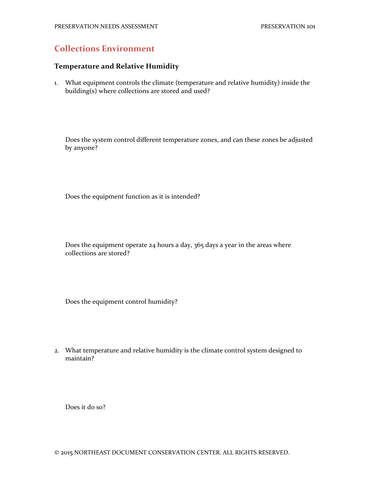# **Collections Environment**

### **Temperature and Relative Humidity**

1. What equipment controls the climate (temperature and relative humidity) inside the building(s) where collections are stored and used?

Does the system control different temperature zones, and can these zones be adjusted by anyone?

Does the equipment function as it is intended?

Does the equipment operate 24 hours a day, 365 days a year in the areas where collections are stored?

Does the equipment control humidity?

2. What temperature and relative humidity is the climate control system designed to maintain?

Does it do so?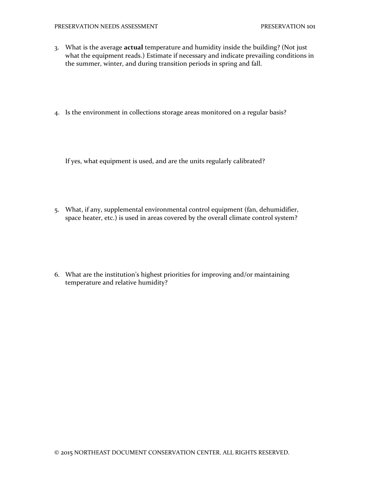- 3. What is the average **actual** temperature and humidity inside the building? (Not just what the equipment reads.) Estimate if necessary and indicate prevailing conditions in the summer, winter, and during transition periods in spring and fall.
- 4. Is the environment in collections storage areas monitored on a regular basis?

If yes, what equipment is used, and are the units regularly calibrated?

5. What, if any, supplemental environmental control equipment (fan, dehumidifier, space heater, etc.) is used in areas covered by the overall climate control system?

6. What are the institution's highest priorities for improving and/or maintaining temperature and relative humidity?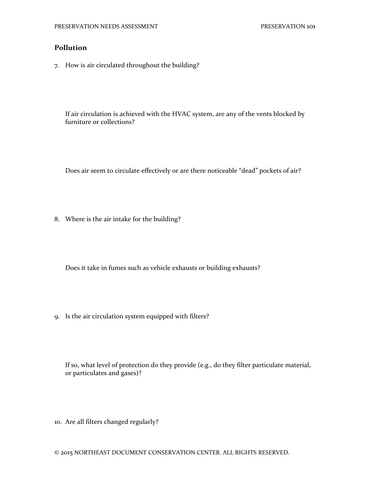# **Pollution**

7. How is air circulated throughout the building?

If air circulation is achieved with the HVAC system, are any of the vents blocked by furniture or collections?

Does air seem to circulate effectively or are there noticeable "dead" pockets of air?

8. Where is the air intake for the building?

Does it take in fumes such as vehicle exhausts or building exhausts?

9. Is the air circulation system equipped with filters?

If so, what level of protection do they provide (e.g., do they filter particulate material, or particulates and gases)?

10. Are all filters changed regularly?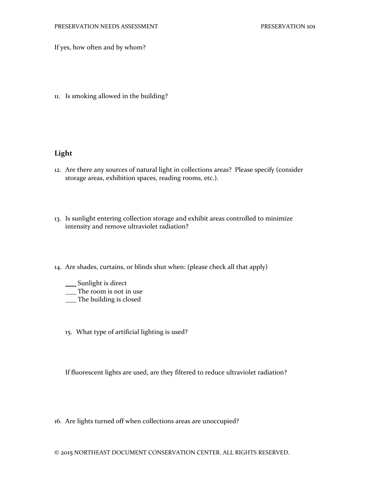If yes, how often and by whom?

11. Is smoking allowed in the building?

## **Light**

- 12. Are there any sources of natural light in collections areas? Please specify (consider storage areas, exhibition spaces, reading rooms, etc.).
- 13. Is sunlight entering collection storage and exhibit areas controlled to minimize intensity and remove ultraviolet radiation?
- 14. Are shades, curtains, or blinds shut when: (please check all that apply)
	- \_\_\_ Sunlight is direct
	- \_\_ The room is not in use
	- The building is closed
	- 15. What type of artificial lighting is used?

If fluorescent lights are used, are they filtered to reduce ultraviolet radiation?

16. Are lights turned off when collections areas are unoccupied?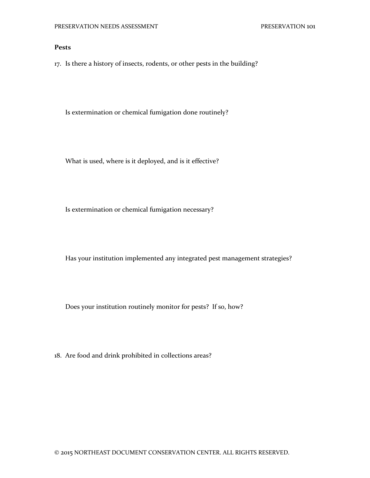#### **Pests**

17. Is there a history of insects, rodents, or other pests in the building?

Is extermination or chemical fumigation done routinely?

What is used, where is it deployed, and is it effective?

Is extermination or chemical fumigation necessary?

Has your institution implemented any integrated pest management strategies?

Does your institution routinely monitor for pests? If so, how?

18. Are food and drink prohibited in collections areas?